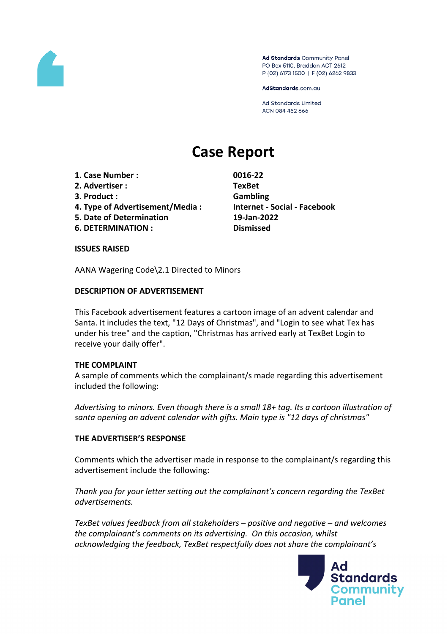

Ad Standards Community Panel PO Box 5110, Braddon ACT 2612 P (02) 6173 1500 | F (02) 6262 9833

AdStandards.com.au

**Ad Standards Limited** ACN 084 452 666

# **Case Report**

- **1. Case Number : 0016-22**
- **2. Advertiser : TexBet**
- **3. Product : Gambling**
- **4. Type of Advertisement/Media : Internet - Social - Facebook**
- **5. Date of Determination 19-Jan-2022**
- **6. DETERMINATION : Dismissed**

## **ISSUES RAISED**

AANA Wagering Code\2.1 Directed to Minors

## **DESCRIPTION OF ADVERTISEMENT**

This Facebook advertisement features a cartoon image of an advent calendar and Santa. It includes the text, "12 Days of Christmas", and "Login to see what Tex has under his tree" and the caption, "Christmas has arrived early at TexBet Login to receive your daily offer".

## **THE COMPLAINT**

A sample of comments which the complainant/s made regarding this advertisement included the following:

*Advertising to minors. Even though there is a small 18+ tag. Its a cartoon illustration of santa opening an advent calendar with gifts. Main type is "12 days of christmas"*

## **THE ADVERTISER'S RESPONSE**

Comments which the advertiser made in response to the complainant/s regarding this advertisement include the following:

*Thank you for your letter setting out the complainant's concern regarding the TexBet advertisements.* 

*TexBet values feedback from all stakeholders – positive and negative – and welcomes the complainant's comments on its advertising. On this occasion, whilst acknowledging the feedback, TexBet respectfully does not share the complainant's*

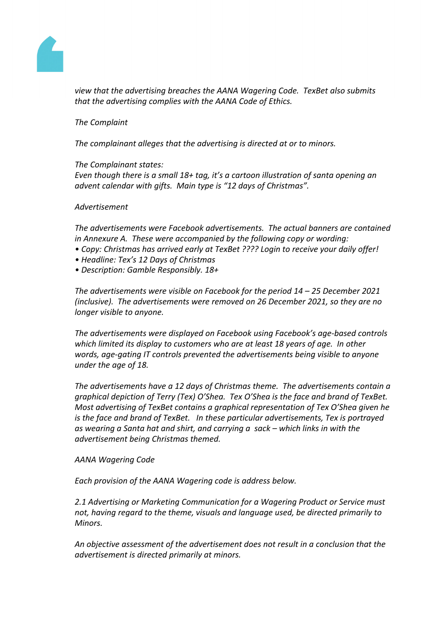

*view that the advertising breaches the AANA Wagering Code. TexBet also submits that the advertising complies with the AANA Code of Ethics.* 

## *The Complaint*

*The complainant alleges that the advertising is directed at or to minors.* 

*The Complainant states: Even though there is a small 18+ tag, it's a cartoon illustration of santa opening an advent calendar with gifts. Main type is "12 days of Christmas".* 

#### *Advertisement*

*The advertisements were Facebook advertisements. The actual banners are contained in Annexure A. These were accompanied by the following copy or wording:* 

- *• Copy: Christmas has arrived early at TexBet ???? Login to receive your daily offer!*
- *• Headline: Tex's 12 Days of Christmas*
- *• Description: Gamble Responsibly. 18+*

*The advertisements were visible on Facebook for the period 14 – 25 December 2021 (inclusive). The advertisements were removed on 26 December 2021, so they are no longer visible to anyone.* 

*The advertisements were displayed on Facebook using Facebook's age-based controls which limited its display to customers who are at least 18 years of age. In other words, age-gating IT controls prevented the advertisements being visible to anyone under the age of 18.* 

*The advertisements have a 12 days of Christmas theme. The advertisements contain a graphical depiction of Terry (Tex) O'Shea. Tex O'Shea is the face and brand of TexBet. Most advertising of TexBet contains a graphical representation of Tex O'Shea given he is the face and brand of TexBet. In these particular advertisements, Tex is portrayed as wearing a Santa hat and shirt, and carrying a sack – which links in with the advertisement being Christmas themed.* 

## *AANA Wagering Code*

*Each provision of the AANA Wagering code is address below.*

*2.1 Advertising or Marketing Communication for a Wagering Product or Service must not, having regard to the theme, visuals and language used, be directed primarily to Minors.*

*An objective assessment of the advertisement does not result in a conclusion that the advertisement is directed primarily at minors.*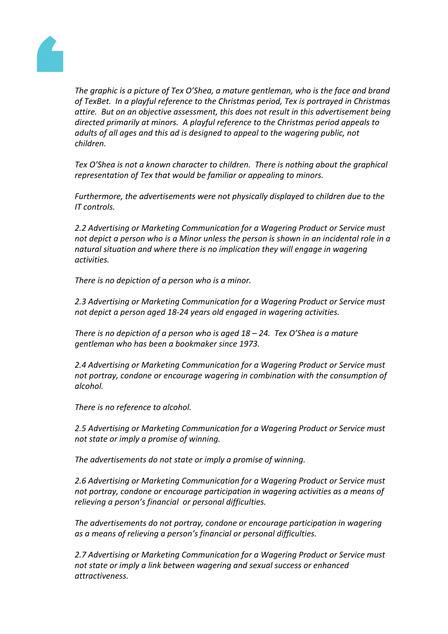

*The graphic is a picture of Tex O'Shea, a mature gentleman, who is the face and brand of TexBet. In a playful reference to the Christmas period, Tex is portrayed in Christmas attire. But on an objective assessment, this does not result in this advertisement being directed primarily at minors. A playful reference to the Christmas period appeals to adults of all ages and this ad is designed to appeal to the wagering public, not children.* 

*Tex O'Shea is not a known character to children. There is nothing about the graphical representation of Tex that would be familiar or appealing to minors.* 

*Furthermore, the advertisements were not physically displayed to children due to the IT controls.*

*2.2 Advertising or Marketing Communication for a Wagering Product or Service must not depict a person who is a Minor unless the person is shown in an incidental role in a natural situation and where there is no implication they will engage in wagering activities.*

*There is no depiction of a person who is a minor.*

*2.3 Advertising or Marketing Communication for a Wagering Product or Service must not depict a person aged 18-24 years old engaged in wagering activities.*

*There is no depiction of a person who is aged 18 – 24. Tex O'Shea is a mature gentleman who has been a bookmaker since 1973.*

*2.4 Advertising or Marketing Communication for a Wagering Product or Service must not portray, condone or encourage wagering in combination with the consumption of alcohol.*

*There is no reference to alcohol.*

*2.5 Advertising or Marketing Communication for a Wagering Product or Service must not state or imply a promise of winning.*

*The advertisements do not state or imply a promise of winning.* 

*2.6 Advertising or Marketing Communication for a Wagering Product or Service must not portray, condone or encourage participation in wagering activities as a means of relieving a person's financial or personal difficulties.*

*The advertisements do not portray, condone or encourage participation in wagering as a means of relieving a person's financial or personal difficulties.*

*2.7 Advertising or Marketing Communication for a Wagering Product or Service must not state or imply a link between wagering and sexual success or enhanced attractiveness.*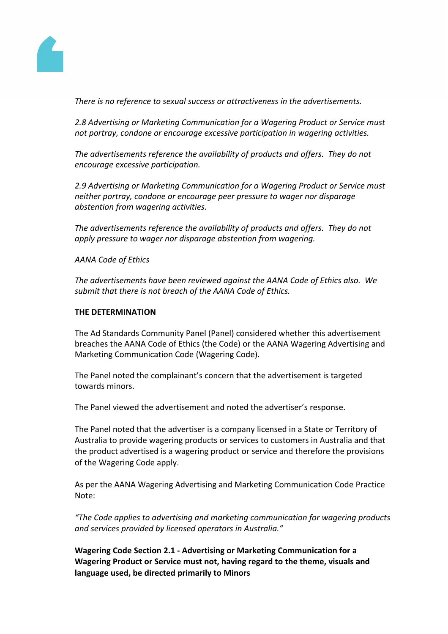

*There is no reference to sexual success or attractiveness in the advertisements.*

*2.8 Advertising or Marketing Communication for a Wagering Product or Service must not portray, condone or encourage excessive participation in wagering activities.*

*The advertisements reference the availability of products and offers. They do not encourage excessive participation.*

*2.9 Advertising or Marketing Communication for a Wagering Product or Service must neither portray, condone or encourage peer pressure to wager nor disparage abstention from wagering activities.*

*The advertisements reference the availability of products and offers. They do not apply pressure to wager nor disparage abstention from wagering.* 

*AANA Code of Ethics*

*The advertisements have been reviewed against the AANA Code of Ethics also. We submit that there is not breach of the AANA Code of Ethics.* 

## **THE DETERMINATION**

The Ad Standards Community Panel (Panel) considered whether this advertisement breaches the AANA Code of Ethics (the Code) or the AANA Wagering Advertising and Marketing Communication Code (Wagering Code).

The Panel noted the complainant's concern that the advertisement is targeted towards minors.

The Panel viewed the advertisement and noted the advertiser's response.

The Panel noted that the advertiser is a company licensed in a State or Territory of Australia to provide wagering products or services to customers in Australia and that the product advertised is a wagering product or service and therefore the provisions of the Wagering Code apply.

As per the AANA Wagering Advertising and Marketing Communication Code Practice Note:

*"The Code applies to advertising and marketing communication for wagering products and services provided by licensed operators in Australia."*

**Wagering Code Section 2.1 - Advertising or Marketing Communication for a Wagering Product or Service must not, having regard to the theme, visuals and language used, be directed primarily to Minors**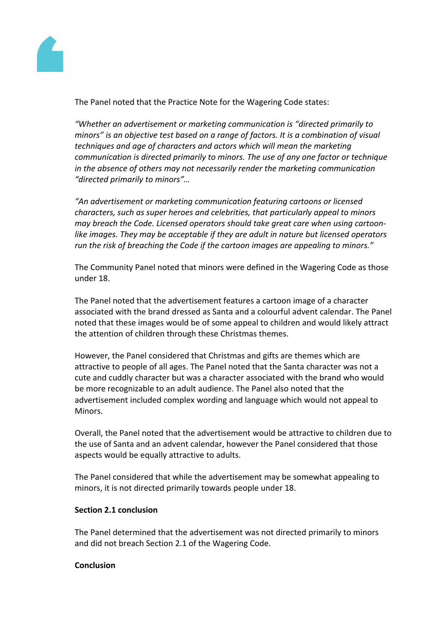

The Panel noted that the Practice Note for the Wagering Code states:

*"Whether an advertisement or marketing communication is "directed primarily to minors" is an objective test based on a range of factors. It is a combination of visual techniques and age of characters and actors which will mean the marketing communication is directed primarily to minors. The use of any one factor or technique in the absence of others may not necessarily render the marketing communication "directed primarily to minors"…*

*"An advertisement or marketing communication featuring cartoons or licensed characters, such as super heroes and celebrities, that particularly appeal to minors may breach the Code. Licensed operators should take great care when using cartoonlike images. They may be acceptable if they are adult in nature but licensed operators run the risk of breaching the Code if the cartoon images are appealing to minors."*

The Community Panel noted that minors were defined in the Wagering Code as those under 18.

The Panel noted that the advertisement features a cartoon image of a character associated with the brand dressed as Santa and a colourful advent calendar. The Panel noted that these images would be of some appeal to children and would likely attract the attention of children through these Christmas themes.

However, the Panel considered that Christmas and gifts are themes which are attractive to people of all ages. The Panel noted that the Santa character was not a cute and cuddly character but was a character associated with the brand who would be more recognizable to an adult audience. The Panel also noted that the advertisement included complex wording and language which would not appeal to Minors.

Overall, the Panel noted that the advertisement would be attractive to children due to the use of Santa and an advent calendar, however the Panel considered that those aspects would be equally attractive to adults.

The Panel considered that while the advertisement may be somewhat appealing to minors, it is not directed primarily towards people under 18.

## **Section 2.1 conclusion**

The Panel determined that the advertisement was not directed primarily to minors and did not breach Section 2.1 of the Wagering Code.

## **Conclusion**